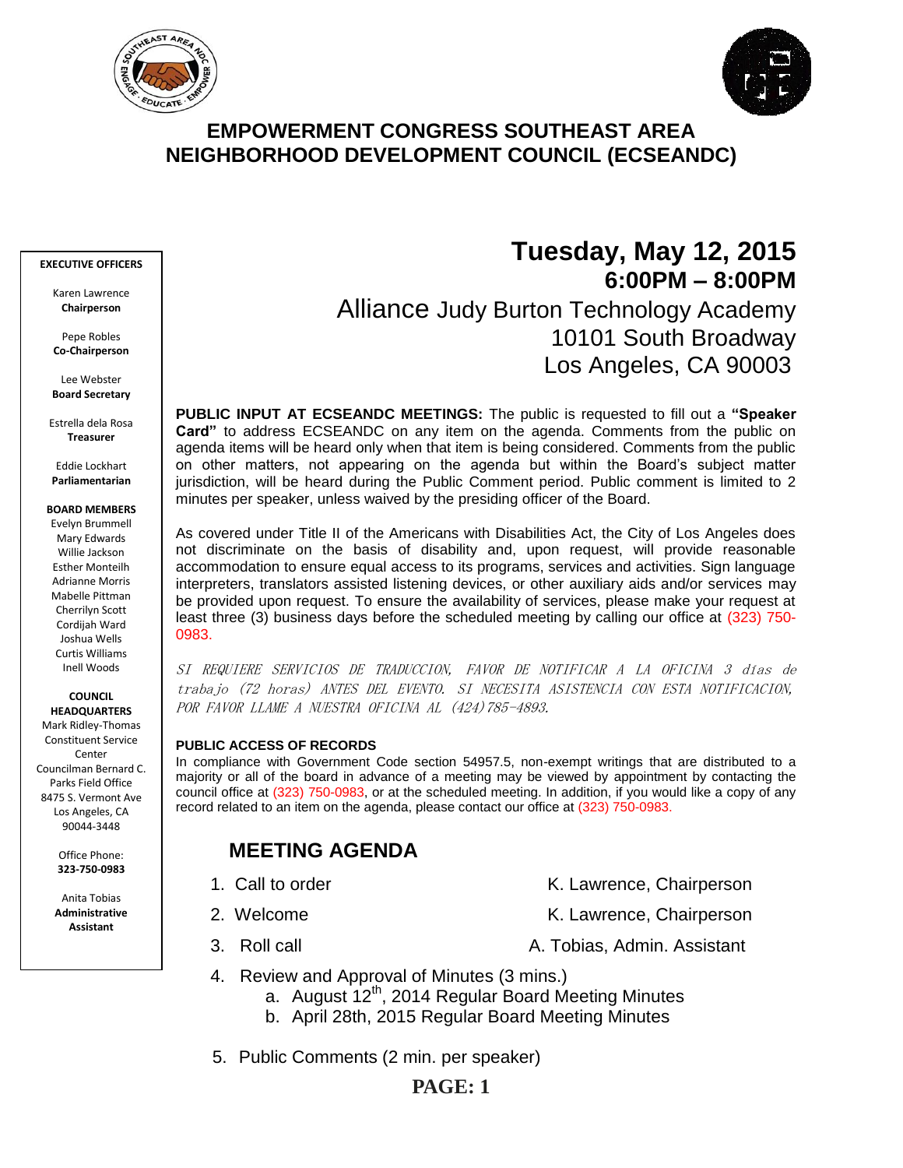



# **EMPOWERMENT CONGRESS SOUTHEAST AREA NEIGHBORHOOD DEVELOPMENT COUNCIL (ECSEANDC)**

#### **EXECUTIVE OFFICERS**

Karen Lawrence **Chairperson**

Pepe Robles **Co-Chairperson**

Lee Webster **Board Secretary**

Estrella dela Rosa **Treasurer**

Eddie Lockhart **Parliamentarian**

### **BOARD MEMBERS**

Evelyn Brummell Mary Edwards Willie Jackson Esther Monteilh Adrianne Morris Mabelle Pittman Cherrilyn Scott Cordijah Ward Joshua Wells Curtis Williams Inell Woods

**COUNCIL HEADQUARTERS**

Mark Ridley-Thomas Constituent Service Center Councilman Bernard C. Parks Field Office 8475 S. Vermont Ave Los Angeles, CA 90044-3448

> Office Phone: **323-750-0983**

Anita Tobias **Administrative Assistant**

# **Tuesday, May 12, 2015 6:00PM – 8:00PM** Alliance Judy Burton Technology Academy 10101 South Broadway Los Angeles, CA 90003

**PUBLIC INPUT AT ECSEANDC MEETINGS:** The public is requested to fill out a **"Speaker Card"** to address ECSEANDC on any item on the agenda. Comments from the public on agenda items will be heard only when that item is being considered. Comments from the public on other matters, not appearing on the agenda but within the Board's subject matter jurisdiction, will be heard during the Public Comment period. Public comment is limited to 2 minutes per speaker, unless waived by the presiding officer of the Board.

As covered under Title II of the Americans with Disabilities Act, the City of Los Angeles does not discriminate on the basis of disability and, upon request, will provide reasonable accommodation to ensure equal access to its programs, services and activities. Sign language interpreters, translators assisted listening devices, or other auxiliary aids and/or services may be provided upon request. To ensure the availability of services, please make your request at least three (3) business days before the scheduled meeting by calling our office at (323) 750- 0983.

SI REQUIERE SERVICIOS DE TRADUCCION, FAVOR DE NOTIFICAR A LA OFICINA 3 días de trabajo (72 horas) ANTES DEL EVENTO. SI NECESITA ASISTENCIA CON ESTA NOTIFICACION, POR FAVOR LLAME A NUESTRA OFICINA AL (424) 785-4893.

### **PUBLIC ACCESS OF RECORDS**

In compliance with Government Code section 54957.5, non-exempt writings that are distributed to a majority or all of the board in advance of a meeting may be viewed by appointment by contacting the council office at (323) 750-0983, or at the scheduled meeting. In addition, if you would like a copy of any record related to an item on the agenda, please contact our office at (323) 750-0983.

# **MEETING AGENDA**

- 
- 1. Call to order The Call to order The Chairperson K. Lawrence, Chairperson
- 2. Welcome **K. Lawrence, Chairperson**
- 3. Roll call **A. Tobias, Admin. Assistant**
- 4. Review and Approval of Minutes (3 mins.)
	- a. August 12<sup>th</sup>, 2014 Regular Board Meeting Minutes
	- b. April 28th, 2015 Regular Board Meeting Minutes
- 5. Public Comments (2 min. per speaker)

## **PAGE: 1**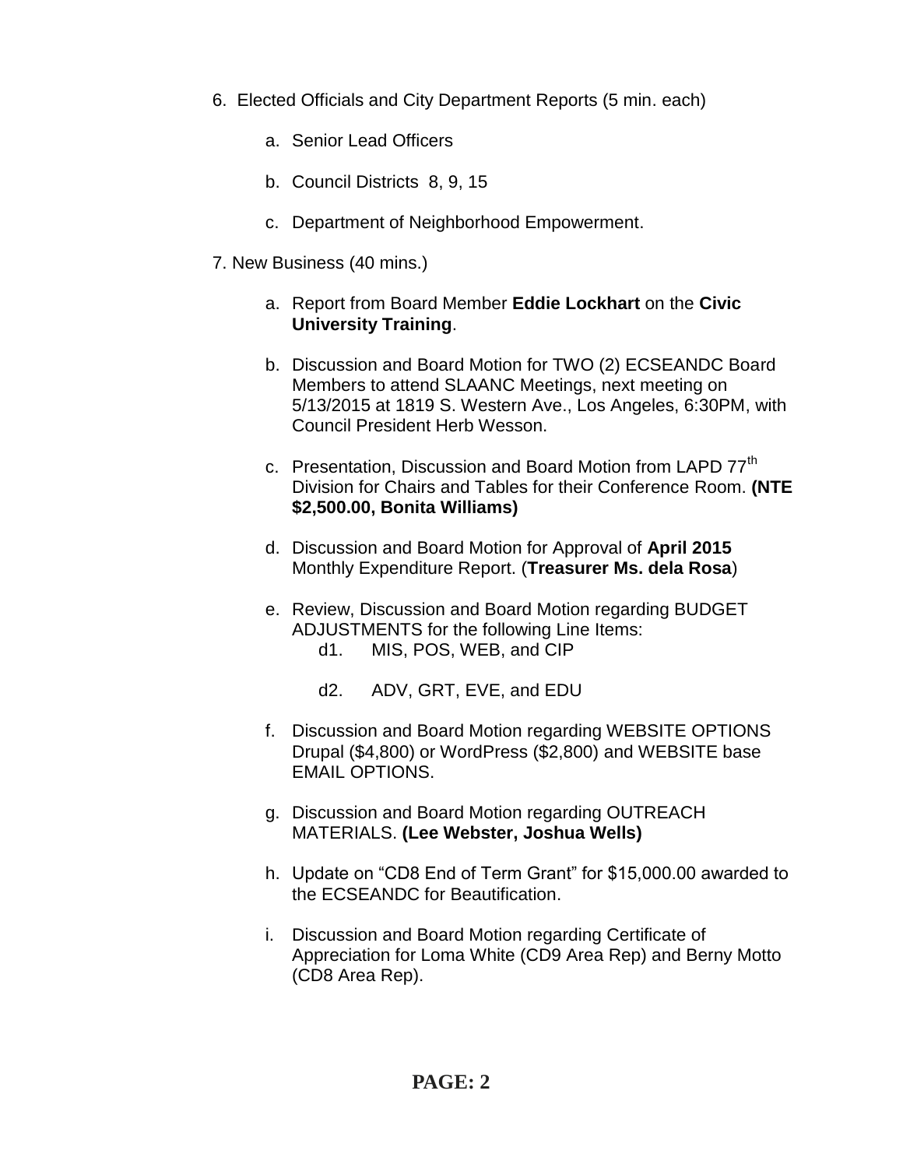- 6. Elected Officials and City Department Reports (5 min. each)
	- a. Senior Lead Officers
	- b. Council Districts 8, 9, 15
	- c. Department of Neighborhood Empowerment.
- 7. New Business (40 mins.)
	- a. Report from Board Member **Eddie Lockhart** on the **Civic University Training**.
	- b. Discussion and Board Motion for TWO (2) ECSEANDC Board Members to attend SLAANC Meetings, next meeting on 5/13/2015 at 1819 S. Western Ave., Los Angeles, 6:30PM, with Council President Herb Wesson.
	- c. Presentation, Discussion and Board Motion from LAPD 77<sup>th</sup> Division for Chairs and Tables for their Conference Room. **(NTE \$2,500.00, Bonita Williams)**
	- d. Discussion and Board Motion for Approval of **April 2015**  Monthly Expenditure Report. (**Treasurer Ms. dela Rosa**)
	- e. Review, Discussion and Board Motion regarding BUDGET ADJUSTMENTS for the following Line Items: d1. MIS, POS, WEB, and CIP
		- d2. ADV, GRT, EVE, and EDU
	- f. Discussion and Board Motion regarding WEBSITE OPTIONS Drupal (\$4,800) or WordPress (\$2,800) and WEBSITE base EMAIL OPTIONS.
	- g. Discussion and Board Motion regarding OUTREACH MATERIALS. **(Lee Webster, Joshua Wells)**
	- h. Update on "CD8 End of Term Grant" for \$15,000.00 awarded to the ECSEANDC for Beautification.
	- i. Discussion and Board Motion regarding Certificate of Appreciation for Loma White (CD9 Area Rep) and Berny Motto (CD8 Area Rep).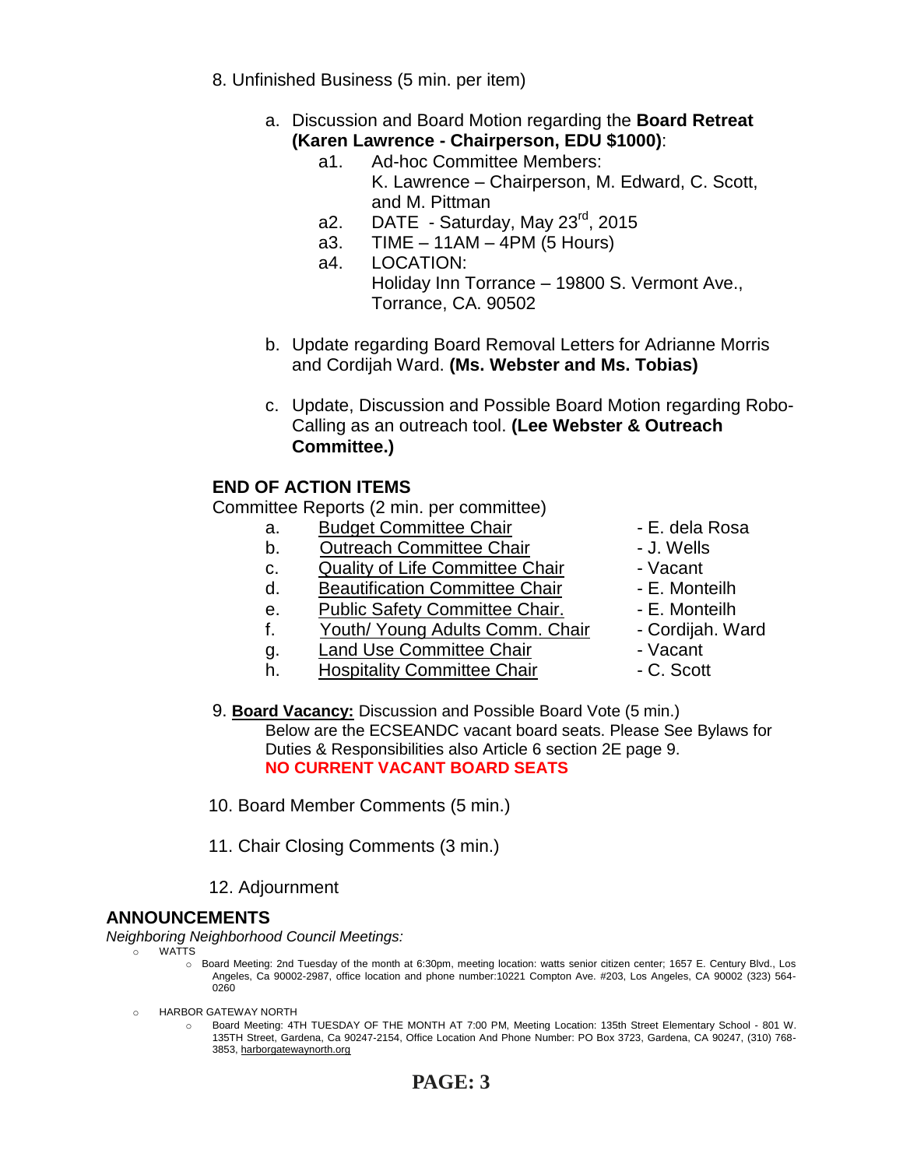- 8. Unfinished Business (5 min. per item)
	- a. Discussion and Board Motion regarding the **Board Retreat (Karen Lawrence - Chairperson, EDU \$1000)**:
		- a1. Ad-hoc Committee Members:
			- K. Lawrence Chairperson, M. Edward, C. Scott, and M. Pittman
			- a2. DATE Saturday, May  $23^{\text{rd}}$ , 2015
			- a3. TIME 11AM 4PM (5 Hours)
			- a4. LOCATION:
				- Holiday Inn Torrance 19800 S. Vermont Ave., Torrance, CA. 90502
	- b. Update regarding Board Removal Letters for Adrianne Morris and Cordijah Ward. **(Ms. Webster and Ms. Tobias)**
	- c. Update, Discussion and Possible Board Motion regarding Robo-Calling as an outreach tool. **(Lee Webster & Outreach Committee.)**

### **END OF ACTION ITEMS**

Committee Reports (2 min. per committee)

- a. Budget Committee Chair  **E. dela Rosa**
- b. Outreach Committee Chair **Daniel Committee Chair dance 1**
- c. Quality of Life Committee Chair Vacant
- d. Beautification Committee Chair E. Monteilh
- e. Public Safety Committee Chair. E. Monteilh
- f. Youth/ Young Adults Comm. Chair Cordijah. Ward
- g. Land Use Committee Chair **1988** Vacant
- h. Hospitality Committee Chair  **C. Scott**
- 
- 
- 
- 
- 
- 
- -
- 9. **Board Vacancy:** Discussion and Possible Board Vote (5 min.) Below are the ECSEANDC vacant board seats. Please See Bylaws for Duties & Responsibilities also Article 6 section 2E page 9. **NO CURRENT VACANT BOARD SEATS**
- 10. Board Member Comments (5 min.)
- 11. Chair Closing Comments (3 min.)
- 12. Adjournment

### **ANNOUNCEMENTS**

*Neighboring Neighborhood Council Meetings:*

- o WATTS
	- o Board Meeting: 2nd Tuesday of the month at 6:30pm, meeting location: watts senior citizen center; 1657 E. Century Blvd., Los Angeles, Ca 90002-2987, office location and phone number:10221 Compton Ave. #203, Los Angeles, CA 90002 (323) 564- 0260
- o HARBOR GATEWAY NORTH
	- o Board Meeting: 4TH TUESDAY OF THE MONTH AT 7:00 PM, Meeting Location: 135th Street Elementary School 801 W. 135TH Street, Gardena, Ca 90247-2154, Office Location And Phone Number: PO Box 3723, Gardena, CA 90247, (310) 768- 3853[, harborgatewaynorth.org](http://www.lacity.org/disclaim/disclaim.cfm?goto=http://HARBORGATEWAYNORTH.ORG%20%20%20%20%20%20%20%20%20%20%20%20%20%20%20%20%20%20%20%20%20%20%20%20%20%20%20%20%20/%20_blank)